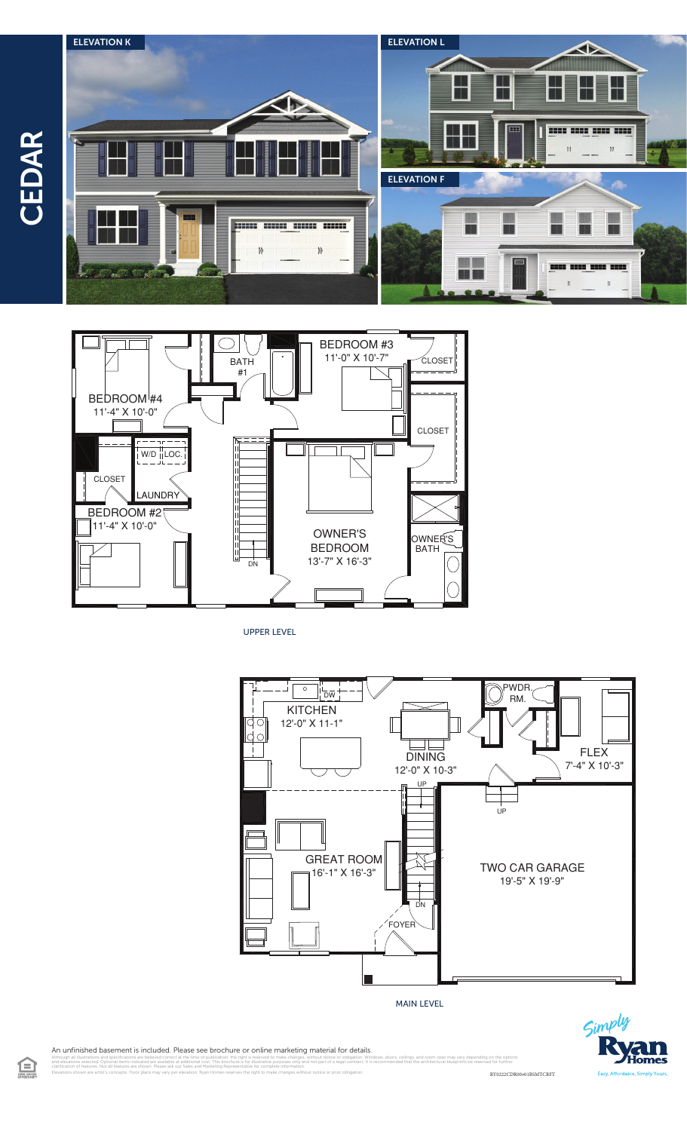$\Xi$ 





UPPER LEVEL



MAIN LEVEL



An unfinished basement is included. Please see brochure or online marketing material for details.

illustrations and specifications are believed correct at the time of publication, the right is reserved to make changes, without notice or obligation. Windows, doors, cellings, and room sizes may vary depending on the opti clarification of features. Not all features are shown. Please ask our Sales and Marketing Representative for complete information. Elevations shown are artist's concepts. Floor plans may vary per elevation. Ryan Homes reserves the right to make changes without notice or prior obligation. RY0222CDR00v01BSMTCRFT